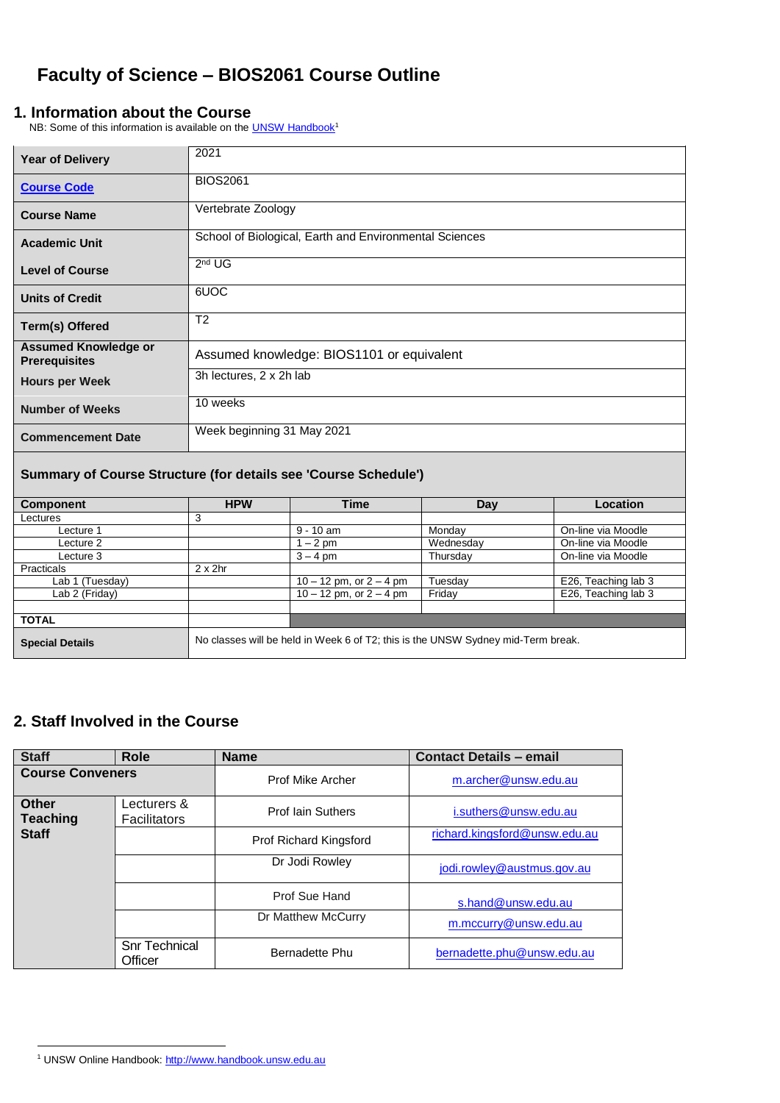# **Faculty of Science – BIOS2061 Course Outline**

### **1. Information about the Course**

NB: Some of this information is available on th[e UNSW Handbook](http://www.handbook.unsw.edu.au/)<sup>1</sup>

| <b>Year of Delivery</b>                                         | 2021                                                                             |                                           |          |                     |  |
|-----------------------------------------------------------------|----------------------------------------------------------------------------------|-------------------------------------------|----------|---------------------|--|
| <b>Course Code</b>                                              | <b>BIOS2061</b>                                                                  |                                           |          |                     |  |
| <b>Course Name</b>                                              | Vertebrate Zoology                                                               |                                           |          |                     |  |
| <b>Academic Unit</b>                                            | School of Biological, Earth and Environmental Sciences                           |                                           |          |                     |  |
| <b>Level of Course</b>                                          | 2 <sup>nd</sup> UG                                                               |                                           |          |                     |  |
| <b>Units of Credit</b>                                          | 6UOC                                                                             |                                           |          |                     |  |
| Term(s) Offered                                                 | $\overline{T2}$                                                                  |                                           |          |                     |  |
| <b>Assumed Knowledge or</b><br><b>Prerequisites</b>             |                                                                                  | Assumed knowledge: BIOS1101 or equivalent |          |                     |  |
| <b>Hours per Week</b>                                           |                                                                                  | 3h lectures, 2 x 2h lab                   |          |                     |  |
| <b>Number of Weeks</b>                                          | 10 weeks                                                                         |                                           |          |                     |  |
| <b>Commencement Date</b>                                        | Week beginning 31 May 2021                                                       |                                           |          |                     |  |
| Summary of Course Structure (for details see 'Course Schedule') |                                                                                  |                                           |          |                     |  |
| <b>Component</b>                                                | <b>HPW</b>                                                                       | <b>Time</b>                               | Day      | Location            |  |
| Lectures                                                        | 3                                                                                |                                           |          |                     |  |
| Lecture 1                                                       |                                                                                  | $9 - 10$ am                               | Monday   | On-line via Moodle  |  |
| Lecture 2                                                       | Wednesday<br>On-line via Moodle<br>$1 - 2$ pm                                    |                                           |          |                     |  |
| Lecture 3                                                       |                                                                                  | $3 - 4$ pm                                | Thursday | On-line via Moodle  |  |
| Practicals                                                      | $2 \times 2$ hr                                                                  |                                           |          |                     |  |
| Lab 1 (Tuesday)                                                 |                                                                                  | $10 - 12$ pm, or $2 - 4$ pm               | Tuesday  | E26, Teaching lab 3 |  |
| Lab 2 (Friday)                                                  |                                                                                  | $10 - 12$ pm, or $2 - 4$ pm               | Friday   | E26, Teaching lab 3 |  |
| <b>TOTAL</b>                                                    |                                                                                  |                                           |          |                     |  |
|                                                                 |                                                                                  |                                           |          |                     |  |
| <b>Special Details</b>                                          | No classes will be held in Week 6 of T2; this is the UNSW Sydney mid-Term break. |                                           |          |                     |  |

## **2. Staff Involved in the Course**

| <b>Staff</b>                    | <b>Role</b>                        | <b>Name</b>              | <b>Contact Details - email</b> |
|---------------------------------|------------------------------------|--------------------------|--------------------------------|
| <b>Course Conveners</b>         |                                    | <b>Prof Mike Archer</b>  | m.archer@unsw.edu.au           |
| <b>Other</b><br><b>Teaching</b> | Lecturers &<br><b>Facilitators</b> | <b>Prof lain Suthers</b> | i.suthers@unsw.edu.au          |
| <b>Staff</b>                    |                                    | Prof Richard Kingsford   | richard.kingsford@unsw.edu.au  |
|                                 |                                    | Dr Jodi Rowley           | jodi.rowley@austmus.gov.au     |
|                                 |                                    | Prof Sue Hand            | s.hand@unsw.edu.au             |
|                                 |                                    | Dr Matthew McCurry       | m.mccurry@unsw.edu.au          |
|                                 | <b>Snr Technical</b><br>Officer    | Bernadette Phu           | bernadette.phu@unsw.edu.au     |

 $\overline{a}$ 

<sup>1</sup> UNSW Online Handbook[: http://www.handbook.unsw.edu.au](http://www.handbook.unsw.edu.au/)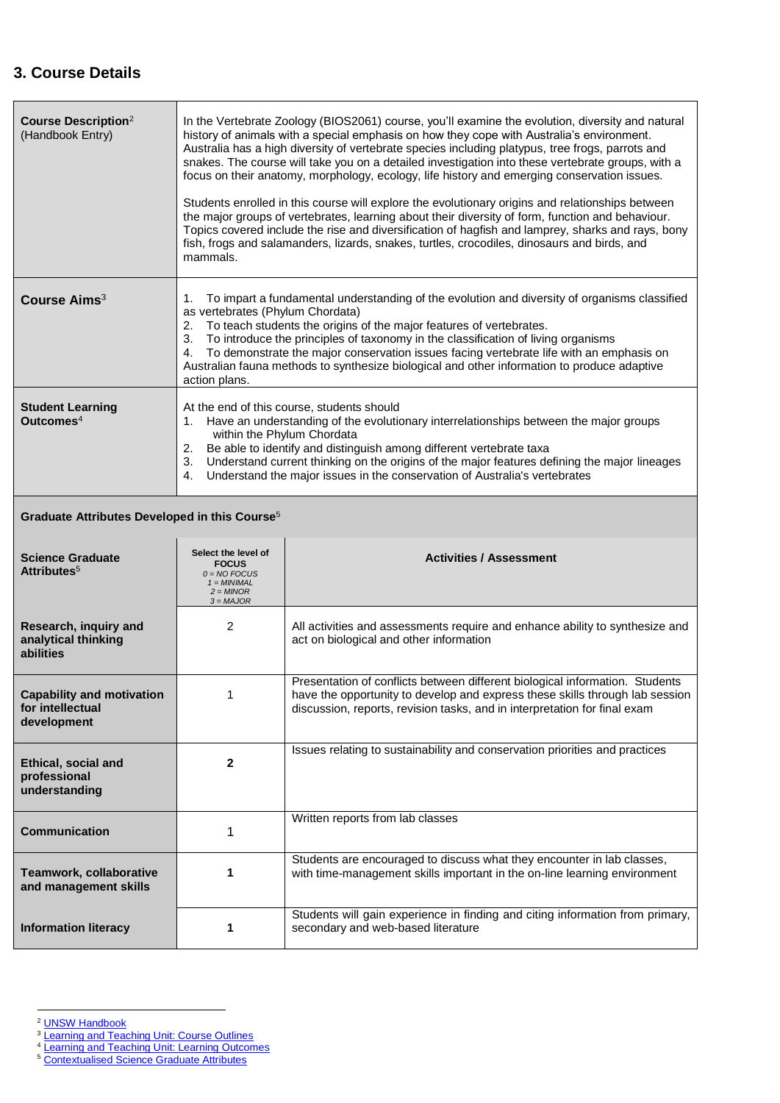# **3. Course Details**

| <b>Course Description</b> <sup>2</sup><br>(Handbook Entry)          | In the Vertebrate Zoology (BIOS2061) course, you'll examine the evolution, diversity and natural<br>history of animals with a special emphasis on how they cope with Australia's environment.<br>Australia has a high diversity of vertebrate species including platypus, tree frogs, parrots and<br>snakes. The course will take you on a detailed investigation into these vertebrate groups, with a<br>focus on their anatomy, morphology, ecology, life history and emerging conservation issues.<br>Students enrolled in this course will explore the evolutionary origins and relationships between<br>the major groups of vertebrates, learning about their diversity of form, function and behaviour.<br>Topics covered include the rise and diversification of hagfish and lamprey, sharks and rays, bony<br>fish, frogs and salamanders, lizards, snakes, turtles, crocodiles, dinosaurs and birds, and<br>mammals. |                                                                                                                                                                                                                                           |  |  |
|---------------------------------------------------------------------|-------------------------------------------------------------------------------------------------------------------------------------------------------------------------------------------------------------------------------------------------------------------------------------------------------------------------------------------------------------------------------------------------------------------------------------------------------------------------------------------------------------------------------------------------------------------------------------------------------------------------------------------------------------------------------------------------------------------------------------------------------------------------------------------------------------------------------------------------------------------------------------------------------------------------------|-------------------------------------------------------------------------------------------------------------------------------------------------------------------------------------------------------------------------------------------|--|--|
| Course Aims <sup>3</sup>                                            | To impart a fundamental understanding of the evolution and diversity of organisms classified<br>1.<br>as vertebrates (Phylum Chordata)<br>To teach students the origins of the major features of vertebrates.<br>2.<br>To introduce the principles of taxonomy in the classification of living organisms<br>3.<br>To demonstrate the major conservation issues facing vertebrate life with an emphasis on<br>4.<br>Australian fauna methods to synthesize biological and other information to produce adaptive<br>action plans.                                                                                                                                                                                                                                                                                                                                                                                               |                                                                                                                                                                                                                                           |  |  |
| <b>Student Learning</b><br>Outcomes <sup><math>4</math></sup>       | At the end of this course, students should<br>1. Have an understanding of the evolutionary interrelationships between the major groups<br>within the Phylum Chordata<br>2. Be able to identify and distinguish among different vertebrate taxa<br>3. Understand current thinking on the origins of the major features defining the major lineages<br>4. Understand the major issues in the conservation of Australia's vertebrates                                                                                                                                                                                                                                                                                                                                                                                                                                                                                            |                                                                                                                                                                                                                                           |  |  |
| Graduate Attributes Developed in this Course <sup>5</sup>           |                                                                                                                                                                                                                                                                                                                                                                                                                                                                                                                                                                                                                                                                                                                                                                                                                                                                                                                               |                                                                                                                                                                                                                                           |  |  |
| <b>Science Graduate</b><br>Attributes <sup>5</sup>                  | Select the level of<br><b>FOCUS</b><br>$0 = NO$ FOCUS<br>$1 = MINIMAL$<br>$2 = MINOR$<br>$3 = MAJOR$                                                                                                                                                                                                                                                                                                                                                                                                                                                                                                                                                                                                                                                                                                                                                                                                                          | <b>Activities / Assessment</b>                                                                                                                                                                                                            |  |  |
| Research, inquiry and<br>analytical thinking<br>abilities           | 2                                                                                                                                                                                                                                                                                                                                                                                                                                                                                                                                                                                                                                                                                                                                                                                                                                                                                                                             | All activities and assessments require and enhance ability to synthesize and<br>act on biological and other information                                                                                                                   |  |  |
| <b>Capability and motivation</b><br>for intellectual<br>development | 1                                                                                                                                                                                                                                                                                                                                                                                                                                                                                                                                                                                                                                                                                                                                                                                                                                                                                                                             | Presentation of conflicts between different biological information. Students<br>have the opportunity to develop and express these skills through lab session<br>discussion, reports, revision tasks, and in interpretation for final exam |  |  |
|                                                                     |                                                                                                                                                                                                                                                                                                                                                                                                                                                                                                                                                                                                                                                                                                                                                                                                                                                                                                                               |                                                                                                                                                                                                                                           |  |  |
| Ethical, social and<br>professional<br>understanding                | $\mathbf{2}$                                                                                                                                                                                                                                                                                                                                                                                                                                                                                                                                                                                                                                                                                                                                                                                                                                                                                                                  | Issues relating to sustainability and conservation priorities and practices                                                                                                                                                               |  |  |
| <b>Communication</b>                                                | 1                                                                                                                                                                                                                                                                                                                                                                                                                                                                                                                                                                                                                                                                                                                                                                                                                                                                                                                             | Written reports from lab classes                                                                                                                                                                                                          |  |  |
| Teamwork, collaborative<br>and management skills                    | 1                                                                                                                                                                                                                                                                                                                                                                                                                                                                                                                                                                                                                                                                                                                                                                                                                                                                                                                             | Students are encouraged to discuss what they encounter in lab classes,<br>with time-management skills important in the on-line learning environment                                                                                       |  |  |

 $\overline{a}$ 

- <sup>3</sup> [Learning and Teaching Unit: Course Outlines](https://teaching.unsw.edu.au/course-outline)
- <sup>4</sup> [Learning and Teaching Unit: Learning Outcomes](https://teaching.unsw.edu.au/learning-outcomes)
- <sup>5</sup> [Contextualised Science Graduate Attributes](http://www.science.unsw.edu.au/our-faculty/science-graduate-attributes)

<sup>&</sup>lt;sup>2</sup> [UNSW Handbook](http://www.handbook.unsw.edu.au/)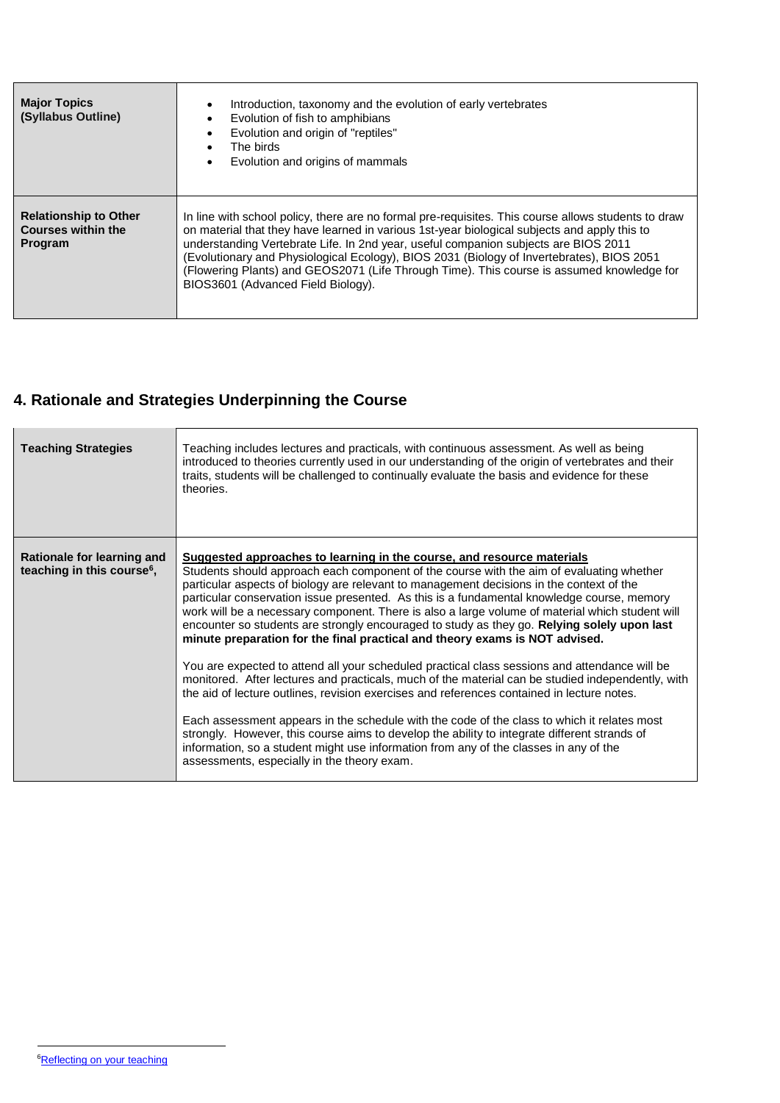| <b>Major Topics</b><br>(Syllabus Outline)                            | Introduction, taxonomy and the evolution of early vertebrates<br>$\bullet$<br>Evolution of fish to amphibians<br>$\bullet$<br>Evolution and origin of "reptiles"<br>$\bullet$<br>The birds<br>$\bullet$<br>Evolution and origins of mammals<br>$\bullet$                                                                                                                                                                                                                                                                   |
|----------------------------------------------------------------------|----------------------------------------------------------------------------------------------------------------------------------------------------------------------------------------------------------------------------------------------------------------------------------------------------------------------------------------------------------------------------------------------------------------------------------------------------------------------------------------------------------------------------|
| <b>Relationship to Other</b><br><b>Courses within the</b><br>Program | In line with school policy, there are no formal pre-requisites. This course allows students to draw<br>on material that they have learned in various 1st-year biological subjects and apply this to<br>understanding Vertebrate Life. In 2nd year, useful companion subjects are BIOS 2011<br>(Evolutionary and Physiological Ecology), BIOS 2031 (Biology of Invertebrates), BIOS 2051<br>(Flowering Plants) and GEOS2071 (Life Through Time). This course is assumed knowledge for<br>BIOS3601 (Advanced Field Biology). |

# **4. Rationale and Strategies Underpinning the Course**

| <b>Teaching Strategies</b>                                           | Teaching includes lectures and practicals, with continuous assessment. As well as being<br>introduced to theories currently used in our understanding of the origin of vertebrates and their<br>traits, students will be challenged to continually evaluate the basis and evidence for these<br>theories.                                                                                                                                                                                                                                                                                                                                                                                                                                                                                                                                           |
|----------------------------------------------------------------------|-----------------------------------------------------------------------------------------------------------------------------------------------------------------------------------------------------------------------------------------------------------------------------------------------------------------------------------------------------------------------------------------------------------------------------------------------------------------------------------------------------------------------------------------------------------------------------------------------------------------------------------------------------------------------------------------------------------------------------------------------------------------------------------------------------------------------------------------------------|
| Rationale for learning and<br>teaching in this course <sup>6</sup> , | Suggested approaches to learning in the course, and resource materials<br>Students should approach each component of the course with the aim of evaluating whether<br>particular aspects of biology are relevant to management decisions in the context of the<br>particular conservation issue presented. As this is a fundamental knowledge course, memory<br>work will be a necessary component. There is also a large volume of material which student will<br>encounter so students are strongly encouraged to study as they go. Relying solely upon last<br>minute preparation for the final practical and theory exams is NOT advised.<br>You are expected to attend all your scheduled practical class sessions and attendance will be<br>monitored. After lectures and practicals, much of the material can be studied independently, with |
|                                                                      | the aid of lecture outlines, revision exercises and references contained in lecture notes.<br>Each assessment appears in the schedule with the code of the class to which it relates most<br>strongly. However, this course aims to develop the ability to integrate different strands of<br>information, so a student might use information from any of the classes in any of the<br>assessments, especially in the theory exam.                                                                                                                                                                                                                                                                                                                                                                                                                   |

 $\overline{a}$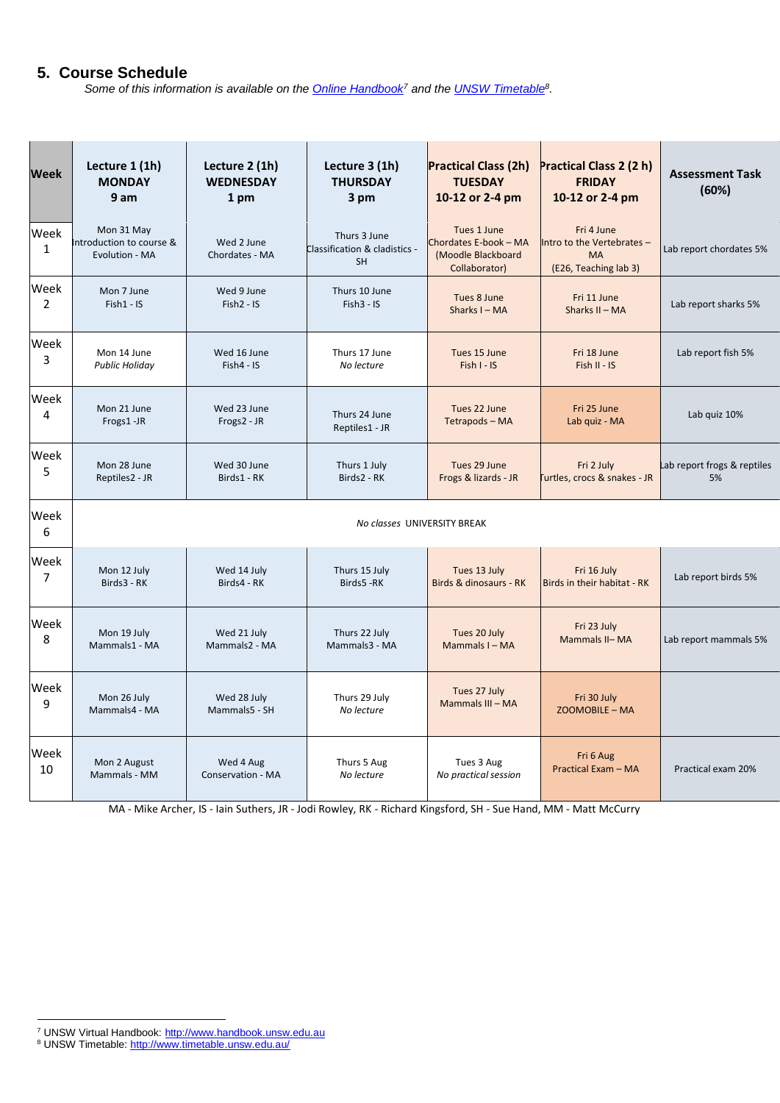### **5. Course Schedule**

*Some of this information is available on th[e Online Handbook](http://www.handbook.unsw.edu.au/)<sup>7</sup> and th[e UNSW Timetable](http://www.timetable.unsw.edu.au/)<sup>8</sup> .* 

| <b>Week</b>          | Lecture 1 (1h)<br><b>MONDAY</b><br>9 am                  | Lecture 2 (1h)<br><b>WEDNESDAY</b><br>1 pm | Lecture 3 (1h)<br><b>THURSDAY</b><br>3 pm                  | <b>Practical Class (2h)</b><br><b>TUESDAY</b><br>10-12 or 2-4 pm            | Practical Class 2 (2 h)<br><b>FRIDAY</b><br>10-12 or 2-4 pm                    | <b>Assessment Task</b><br>(60%) |
|----------------------|----------------------------------------------------------|--------------------------------------------|------------------------------------------------------------|-----------------------------------------------------------------------------|--------------------------------------------------------------------------------|---------------------------------|
| Week<br>$\mathbf{1}$ | Mon 31 May<br>Introduction to course &<br>Evolution - MA | Wed 2 June<br>Chordates - MA               | Thurs 3 June<br>Classification & cladistics -<br><b>SH</b> | Tues 1 June<br>Chordates E-book - MA<br>(Moodle Blackboard<br>Collaborator) | Fri 4 June<br>Intro to the Vertebrates -<br><b>MA</b><br>(E26, Teaching lab 3) | Lab report chordates 5%         |
| Week                 | Mon 7 June                                               | Wed 9 June                                 | Thurs 10 June                                              | Tues 8 June                                                                 | Fri 11 June                                                                    | Lab report sharks 5%            |
| 2                    | $Fish1 - IS$                                             | Fish2 - IS                                 | $Fish3 - IS$                                               | Sharks I - MA                                                               | Sharks II - MA                                                                 |                                 |
| Week                 | Mon 14 June                                              | Wed 16 June                                | Thurs 17 June                                              | Tues 15 June                                                                | Fri 18 June                                                                    | Lab report fish 5%              |
| 3                    | <b>Public Holiday</b>                                    | $Fish4 - IS$                               | No lecture                                                 | Fish I - IS                                                                 | $Fish II - IS$                                                                 |                                 |
| Week                 | Mon 21 June                                              | Wed 23 June                                | Thurs 24 June                                              | Tues 22 June                                                                | Fri 25 June                                                                    | Lab quiz 10%                    |
| 4                    | Frogs1-JR                                                | Frogs2 - JR                                | Reptiles1 - JR                                             | Tetrapods - MA                                                              | Lab quiz - MA                                                                  |                                 |
| Week                 | Mon 28 June                                              | Wed 30 June                                | Thurs 1 July                                               | Tues 29 June                                                                | Fri 2 July                                                                     | Lab report frogs & reptiles     |
| 5                    | Reptiles2 - JR                                           | Birds1 - RK                                | Birds2 - RK                                                | Frogs & lizards - JR                                                        | urtles, crocs & snakes - JR                                                    | 5%                              |
| Week<br>6            |                                                          |                                            | No classes UNIVERSITY BREAK                                |                                                                             |                                                                                |                                 |
| Week                 | Mon 12 July                                              | Wed 14 July                                | Thurs 15 July                                              | Tues 13 July                                                                | Fri 16 July                                                                    | Lab report birds 5%             |
| $\overline{7}$       | Birds3 - RK                                              | Birds4 - RK                                | Birds5-RK                                                  | Birds & dinosaurs - RK                                                      | Birds in their habitat - RK                                                    |                                 |
| Week                 | Mon 19 July                                              | Wed 21 July                                | Thurs 22 July                                              | Tues 20 July                                                                | Fri 23 July                                                                    | Lab report mammals 5%           |
| 8                    | Mammals1 - MA                                            | Mammals2 - MA                              | Mammals3 - MA                                              | Mammals I - MA                                                              | Mammals II-MA                                                                  |                                 |
| Week                 | Mon 26 July                                              | Wed 28 July                                | Thurs 29 July                                              | Tues 27 July                                                                | Fri 30 July                                                                    |                                 |
| 9                    | Mammals4 - MA                                            | Mammals5 - SH                              | No lecture                                                 | Mammals III - MA                                                            | ZOOMOBILE - MA                                                                 |                                 |
| Week                 | Mon 2 August                                             | Wed 4 Aug                                  | Thurs 5 Aug                                                | Tues 3 Aug                                                                  | Fri 6 Aug                                                                      | Practical exam 20%              |
| 10                   | Mammals - MM                                             | <b>Conservation - MA</b>                   | No lecture                                                 | No practical session                                                        | Practical Exam - MA                                                            |                                 |

MA - Mike Archer, IS - Iain Suthers, JR - Jodi Rowley, RK - Richard Kingsford, SH - Sue Hand, MM - Matt McCurry

 $\overline{a}$ <sup>7</sup> UNSW Virtual Handbook: [http://www.handbook.unsw.edu.au](http://www.handbook.unsw.edu.au/)

<sup>&</sup>lt;sup>8</sup> UNSW Timetable[: http://www.timetable.unsw.edu.au/](http://www.timetable.unsw.edu.au/)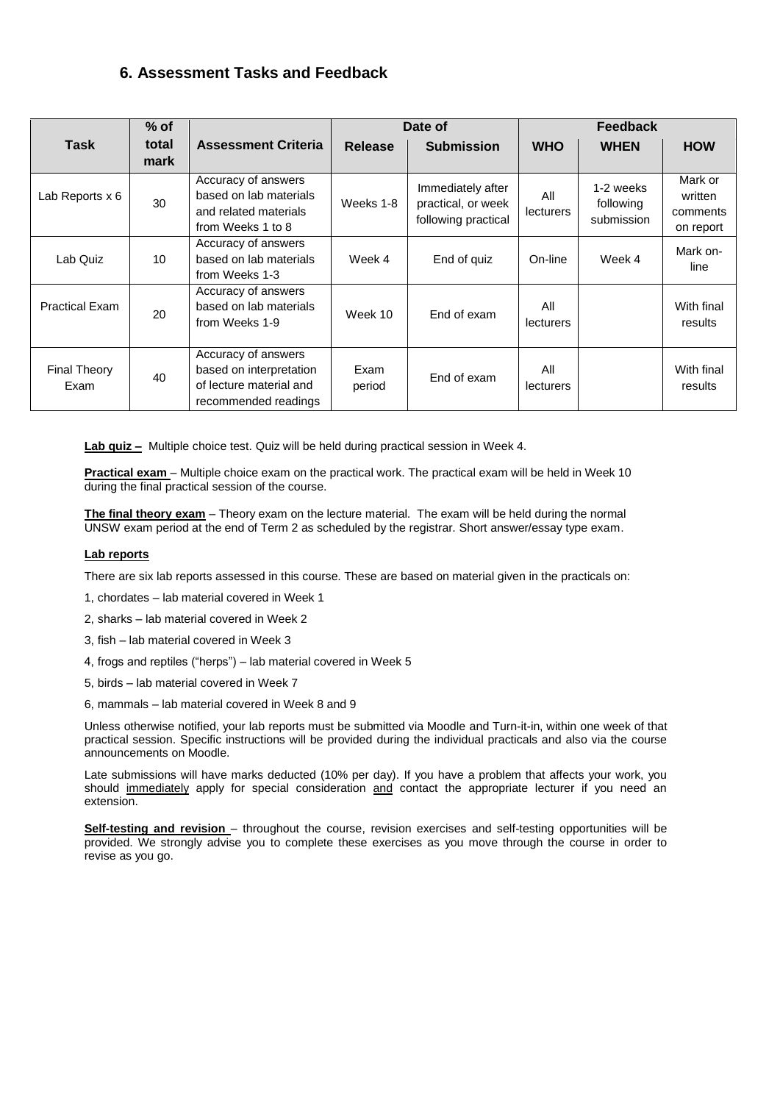### **6. Assessment Tasks and Feedback**

|                             | $%$ of        |                                                                                                   | Date of        |                                                                | Feedback                |                                      |                                             |
|-----------------------------|---------------|---------------------------------------------------------------------------------------------------|----------------|----------------------------------------------------------------|-------------------------|--------------------------------------|---------------------------------------------|
| Task                        | total<br>mark | <b>Assessment Criteria</b>                                                                        | <b>Release</b> | <b>Submission</b>                                              | <b>WHO</b>              | <b>WHEN</b>                          | <b>HOW</b>                                  |
| Lab Reports x 6             | 30            | Accuracy of answers<br>based on lab materials<br>and related materials<br>from Weeks 1 to 8       | Weeks 1-8      | Immediately after<br>practical, or week<br>following practical | All<br>lecturers        | 1-2 weeks<br>following<br>submission | Mark or<br>written<br>comments<br>on report |
| Lab Quiz                    | 10            | Accuracy of answers<br>based on lab materials<br>from Weeks 1-3                                   | Week 4         | End of quiz                                                    | On-line                 | Week 4                               | Mark on-<br>line                            |
| <b>Practical Exam</b>       | 20            | Accuracy of answers<br>based on lab materials<br>from Weeks 1-9                                   | Week 10        | End of exam                                                    | All<br><b>lecturers</b> |                                      | With final<br>results                       |
| <b>Final Theory</b><br>Exam | 40            | Accuracy of answers<br>based on interpretation<br>of lecture material and<br>recommended readings | Exam<br>period | End of exam                                                    | All<br>lecturers        |                                      | With final<br>results                       |

**Lab quiz –** Multiple choice test. Quiz will be held during practical session in Week 4.

**Practical exam** – Multiple choice exam on the practical work. The practical exam will be held in Week 10 during the final practical session of the course.

**The final theory exam** – Theory exam on the lecture material. The exam will be held during the normal UNSW exam period at the end of Term 2 as scheduled by the registrar. Short answer/essay type exam.

#### **Lab reports**

There are six lab reports assessed in this course. These are based on material given in the practicals on:

- 1, chordates lab material covered in Week 1
- 2, sharks lab material covered in Week 2
- 3, fish lab material covered in Week 3
- 4, frogs and reptiles ("herps") lab material covered in Week 5
- 5, birds lab material covered in Week 7
- 6, mammals lab material covered in Week 8 and 9

Unless otherwise notified, your lab reports must be submitted via Moodle and Turn-it-in, within one week of that practical session. Specific instructions will be provided during the individual practicals and also via the course announcements on Moodle.

Late submissions will have marks deducted (10% per day). If you have a problem that affects your work, you should immediately apply for special consideration and contact the appropriate lecturer if you need an extension.

**Self-testing and revision** – throughout the course, revision exercises and self-testing opportunities will be provided. We strongly advise you to complete these exercises as you move through the course in order to revise as you go.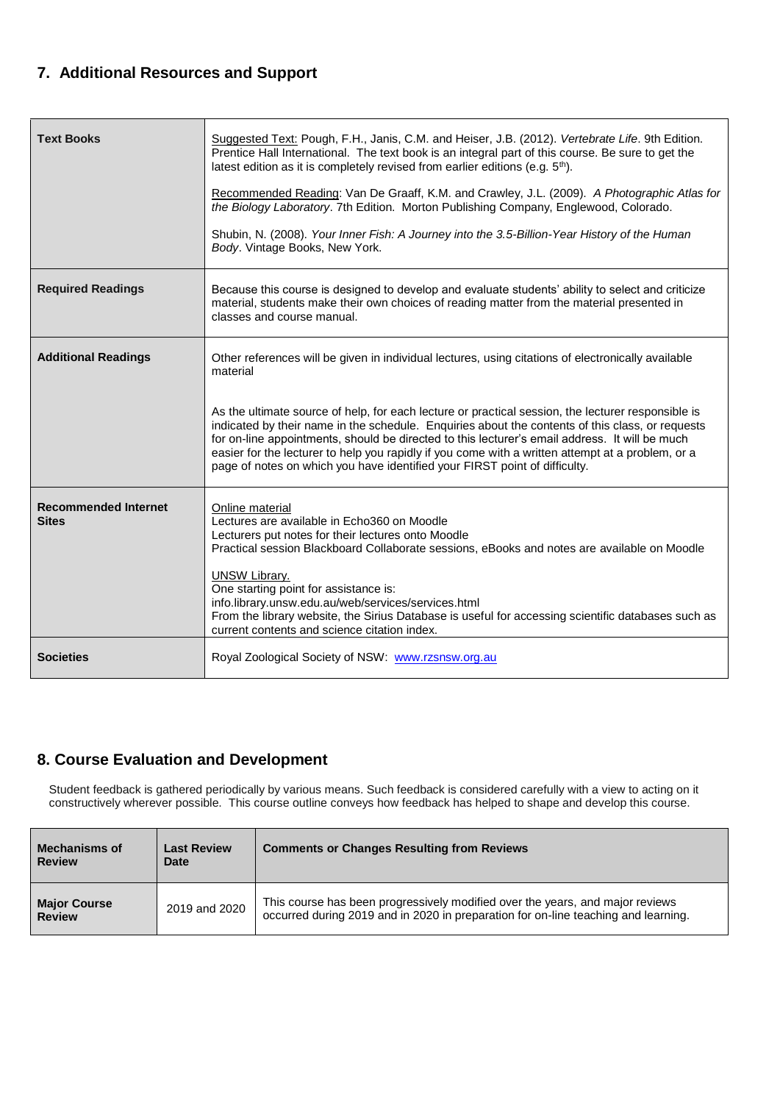# **7. Additional Resources and Support**

| <b>Text Books</b>                           | Suggested Text: Pough, F.H., Janis, C.M. and Heiser, J.B. (2012). Vertebrate Life. 9th Edition.<br>Prentice Hall International. The text book is an integral part of this course. Be sure to get the<br>latest edition as it is completely revised from earlier editions (e.g. 5 <sup>th</sup> ).                                                                                                                                                                                           |
|---------------------------------------------|---------------------------------------------------------------------------------------------------------------------------------------------------------------------------------------------------------------------------------------------------------------------------------------------------------------------------------------------------------------------------------------------------------------------------------------------------------------------------------------------|
|                                             | Recommended Reading: Van De Graaff, K.M. and Crawley, J.L. (2009). A Photographic Atlas for<br>the Biology Laboratory. 7th Edition. Morton Publishing Company, Englewood, Colorado.                                                                                                                                                                                                                                                                                                         |
|                                             | Shubin, N. (2008). Your Inner Fish: A Journey into the 3.5-Billion-Year History of the Human<br>Body. Vintage Books, New York.                                                                                                                                                                                                                                                                                                                                                              |
| <b>Required Readings</b>                    | Because this course is designed to develop and evaluate students' ability to select and criticize<br>material, students make their own choices of reading matter from the material presented in<br>classes and course manual.                                                                                                                                                                                                                                                               |
| <b>Additional Readings</b>                  | Other references will be given in individual lectures, using citations of electronically available<br>material                                                                                                                                                                                                                                                                                                                                                                              |
|                                             | As the ultimate source of help, for each lecture or practical session, the lecturer responsible is<br>indicated by their name in the schedule. Enquiries about the contents of this class, or requests<br>for on-line appointments, should be directed to this lecturer's email address. It will be much<br>easier for the lecturer to help you rapidly if you come with a written attempt at a problem, or a<br>page of notes on which you have identified your FIRST point of difficulty. |
| <b>Recommended Internet</b><br><b>Sites</b> | Online material<br>Lectures are available in Echo360 on Moodle<br>Lecturers put notes for their lectures onto Moodle<br>Practical session Blackboard Collaborate sessions, eBooks and notes are available on Moodle<br><b>UNSW Library.</b><br>One starting point for assistance is:                                                                                                                                                                                                        |
|                                             | info.library.unsw.edu.au/web/services/services.html<br>From the library website, the Sirius Database is useful for accessing scientific databases such as<br>current contents and science citation index.                                                                                                                                                                                                                                                                                   |
| <b>Societies</b>                            | Royal Zoological Society of NSW: www.rzsnsw.org.au                                                                                                                                                                                                                                                                                                                                                                                                                                          |

## **8. Course Evaluation and Development**

Student feedback is gathered periodically by various means. Such feedback is considered carefully with a view to acting on it constructively wherever possible. This course outline conveys how feedback has helped to shape and develop this course.

| <b>Mechanisms of</b><br><b>Review</b> | <b>Last Review</b><br><b>Date</b> | <b>Comments or Changes Resulting from Reviews</b>                                                                                                                   |
|---------------------------------------|-----------------------------------|---------------------------------------------------------------------------------------------------------------------------------------------------------------------|
| <b>Major Course</b><br><b>Review</b>  | 2019 and 2020                     | This course has been progressively modified over the years, and major reviews<br>occurred during 2019 and in 2020 in preparation for on-line teaching and learning. |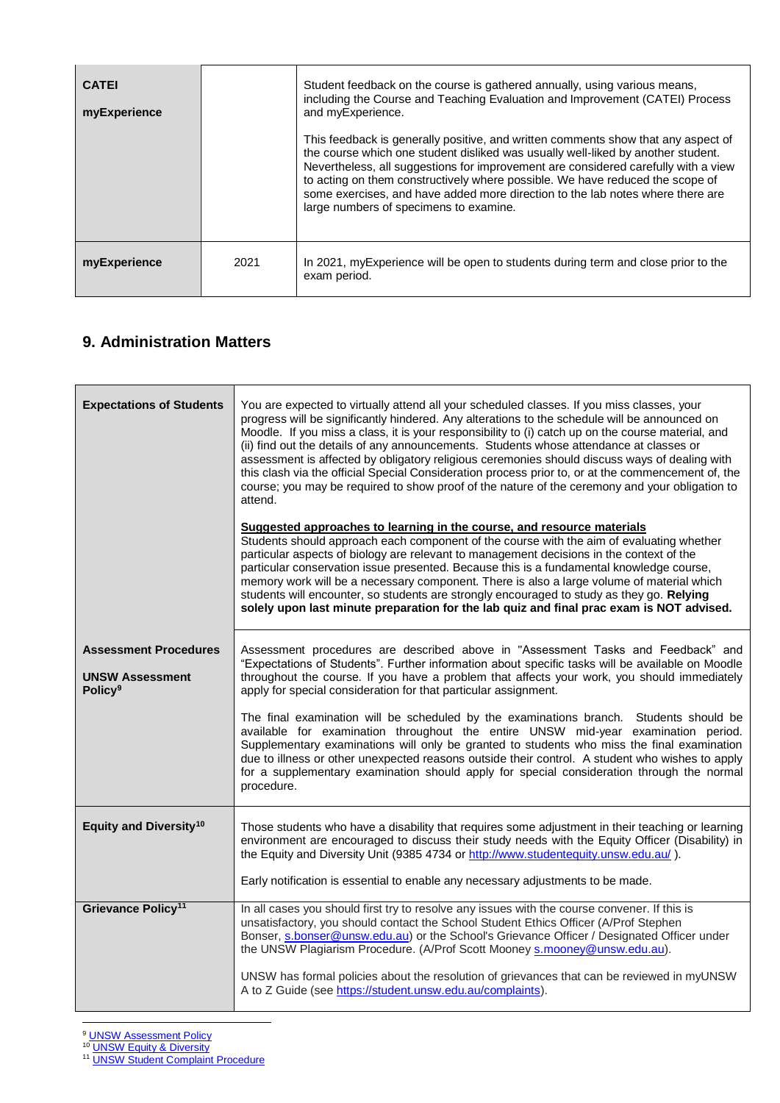| <b>CATEI</b><br>myExperience |      | Student feedback on the course is gathered annually, using various means,<br>including the Course and Teaching Evaluation and Improvement (CATEI) Process<br>and myExperience.<br>This feedback is generally positive, and written comments show that any aspect of<br>the course which one student disliked was usually well-liked by another student.<br>Nevertheless, all suggestions for improvement are considered carefully with a view<br>to acting on them constructively where possible. We have reduced the scope of<br>some exercises, and have added more direction to the lab notes where there are<br>large numbers of specimens to examine. |
|------------------------------|------|------------------------------------------------------------------------------------------------------------------------------------------------------------------------------------------------------------------------------------------------------------------------------------------------------------------------------------------------------------------------------------------------------------------------------------------------------------------------------------------------------------------------------------------------------------------------------------------------------------------------------------------------------------|
| myExperience                 | 2021 | In 2021, my Experience will be open to students during term and close prior to the<br>exam period.                                                                                                                                                                                                                                                                                                                                                                                                                                                                                                                                                         |

# **9. Administration Matters**

| <b>Expectations of Students</b>                                                      | You are expected to virtually attend all your scheduled classes. If you miss classes, your<br>progress will be significantly hindered. Any alterations to the schedule will be announced on<br>Moodle. If you miss a class, it is your responsibility to (i) catch up on the course material, and<br>(ii) find out the details of any announcements. Students whose attendance at classes or<br>assessment is affected by obligatory religious ceremonies should discuss ways of dealing with<br>this clash via the official Special Consideration process prior to, or at the commencement of, the<br>course; you may be required to show proof of the nature of the ceremony and your obligation to<br>attend.<br>Suggested approaches to learning in the course, and resource materials<br>Students should approach each component of the course with the aim of evaluating whether<br>particular aspects of biology are relevant to management decisions in the context of the<br>particular conservation issue presented. Because this is a fundamental knowledge course,<br>memory work will be a necessary component. There is also a large volume of material which<br>students will encounter, so students are strongly encouraged to study as they go. Relying<br>solely upon last minute preparation for the lab quiz and final prac exam is NOT advised. |
|--------------------------------------------------------------------------------------|----------------------------------------------------------------------------------------------------------------------------------------------------------------------------------------------------------------------------------------------------------------------------------------------------------------------------------------------------------------------------------------------------------------------------------------------------------------------------------------------------------------------------------------------------------------------------------------------------------------------------------------------------------------------------------------------------------------------------------------------------------------------------------------------------------------------------------------------------------------------------------------------------------------------------------------------------------------------------------------------------------------------------------------------------------------------------------------------------------------------------------------------------------------------------------------------------------------------------------------------------------------------------------------------------------------------------------------------------------------------|
| <b>Assessment Procedures</b><br><b>UNSW Assessment</b><br><b>Policy</b> <sup>9</sup> | Assessment procedures are described above in "Assessment Tasks and Feedback" and<br>"Expectations of Students". Further information about specific tasks will be available on Moodle<br>throughout the course. If you have a problem that affects your work, you should immediately<br>apply for special consideration for that particular assignment.<br>The final examination will be scheduled by the examinations branch. Students should be<br>available for examination throughout the entire UNSW mid-year examination period.<br>Supplementary examinations will only be granted to students who miss the final examination<br>due to illness or other unexpected reasons outside their control. A student who wishes to apply<br>for a supplementary examination should apply for special consideration through the normal<br>procedure.                                                                                                                                                                                                                                                                                                                                                                                                                                                                                                                    |
| Equity and Diversity <sup>10</sup>                                                   | Those students who have a disability that requires some adjustment in their teaching or learning<br>environment are encouraged to discuss their study needs with the Equity Officer (Disability) in<br>the Equity and Diversity Unit (9385 4734 or http://www.studentequity.unsw.edu.au/).<br>Early notification is essential to enable any necessary adjustments to be made.                                                                                                                                                                                                                                                                                                                                                                                                                                                                                                                                                                                                                                                                                                                                                                                                                                                                                                                                                                                        |
| Grievance Policy <sup>11</sup>                                                       | In all cases you should first try to resolve any issues with the course convener. If this is<br>unsatisfactory, you should contact the School Student Ethics Officer (A/Prof Stephen<br>Bonser, s.bonser@unsw.edu.au) or the School's Grievance Officer / Designated Officer under<br>the UNSW Plagiarism Procedure. (A/Prof Scott Mooney s.mooney@unsw.edu.au).<br>UNSW has formal policies about the resolution of grievances that can be reviewed in myUNSW<br>A to Z Guide (see https://student.unsw.edu.au/complaints).                                                                                                                                                                                                                                                                                                                                                                                                                                                                                                                                                                                                                                                                                                                                                                                                                                         |

<u>.</u> <sup>9</sup> [UNSW Assessment Policy](http://www.gs.unsw.edu.au/policy/documents/assessmentpolicy.pdf)

<sup>10</sup> [UNSW Equity & Diversity](https://teaching.unsw.edu.au/equity-and-diversity)

<sup>11</sup> [UNSW Student Complaint Procedure](https://student.unsw.edu.au/complaints)